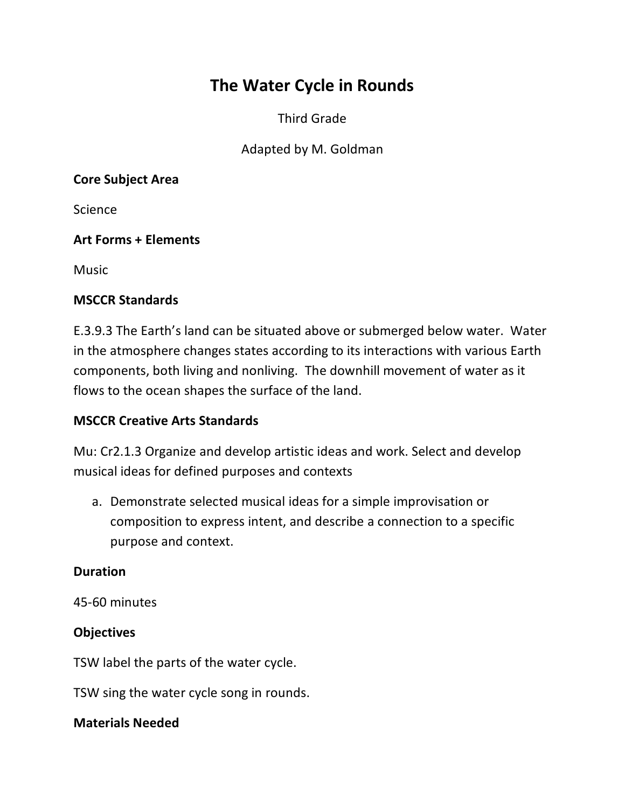# **The Water Cycle in Rounds**

Third Grade

Adapted by M. Goldman

#### **Core Subject Area**

**Science** 

## **Art Forms + Elements**

**Music** 

## **MSCCR Standards**

E.3.9.3 The Earth's land can be situated above or submerged below water. Water in the atmosphere changes states according to its interactions with various Earth components, both living and nonliving. The downhill movement of water as it flows to the ocean shapes the surface of the land.

# **MSCCR Creative Arts Standards**

Mu: Cr2.1.3 Organize and develop artistic ideas and work. Select and develop musical ideas for defined purposes and contexts

a. Demonstrate selected musical ideas for a simple improvisation or composition to express intent, and describe a connection to a specific purpose and context.

#### **Duration**

45-60 minutes

#### **Objectives**

TSW label the parts of the water cycle.

TSW sing the water cycle song in rounds.

#### **Materials Needed**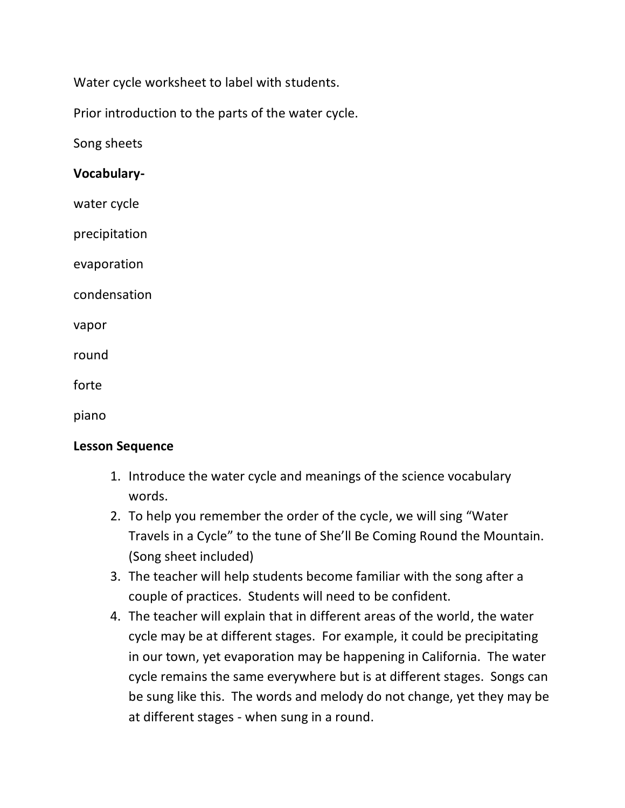Water cycle worksheet to label with students.

Prior introduction to the parts of the water cycle.

Song sheets

#### **Vocabulary-**

water cycle

precipitation

evaporation

condensation

vapor

round

forte

piano

#### **Lesson Sequence**

- 1. Introduce the water cycle and meanings of the science vocabulary words.
- 2. To help you remember the order of the cycle, we will sing "Water Travels in a Cycle" to the tune of She'll Be Coming Round the Mountain. (Song sheet included)
- 3. The teacher will help students become familiar with the song after a couple of practices. Students will need to be confident.
- 4. The teacher will explain that in different areas of the world, the water cycle may be at different stages. For example, it could be precipitating in our town, yet evaporation may be happening in California. The water cycle remains the same everywhere but is at different stages. Songs can be sung like this. The words and melody do not change, yet they may be at different stages - when sung in a round.